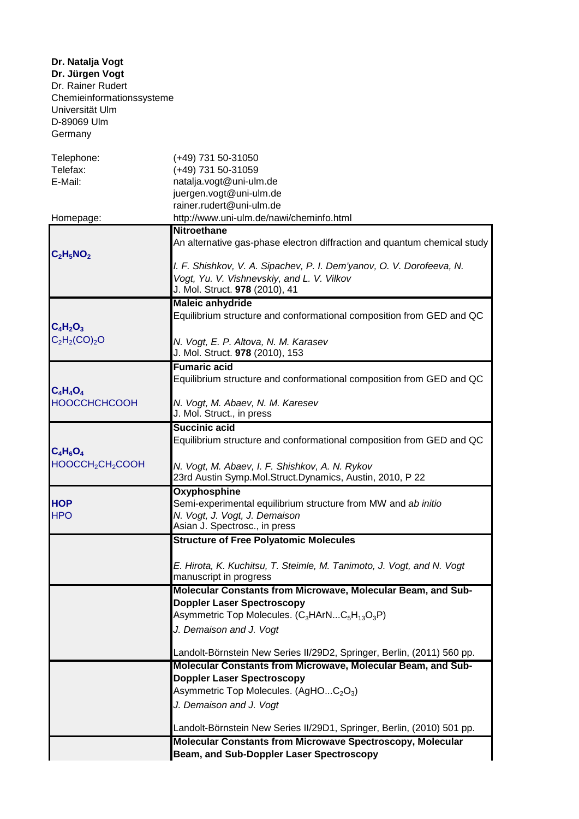**Dr. Jürgen Vogt** Dr. Rainer Rudert Chemieinformationssysteme Universität Ulm D-89069 Ulm Germany **Dr. Natalja Vogt**

| Telephone:                               | (+49) 731 50-31050                                                                                                 |
|------------------------------------------|--------------------------------------------------------------------------------------------------------------------|
| Telefax:                                 | (+49) 731 50-31059                                                                                                 |
| E-Mail:                                  | natalja.vogt@uni-ulm.de<br>juergen.vogt@uni-ulm.de                                                                 |
|                                          | rainer.rudert@uni-ulm.de                                                                                           |
| Homepage:                                | http://www.uni-ulm.de/nawi/cheminfo.html                                                                           |
|                                          | <b>Nitroethane</b>                                                                                                 |
|                                          | An alternative gas-phase electron diffraction and quantum chemical study                                           |
| $C_2H_5NO_2$                             |                                                                                                                    |
|                                          | I. F. Shishkov, V. A. Sipachev, P. I. Dem'yanov, O. V. Dorofeeva, N.<br>Vogt, Yu. V. Vishnevskiy, and L. V. Vilkov |
|                                          | J. Mol. Struct. 978 (2010), 41                                                                                     |
|                                          | <b>Maleic anhydride</b>                                                                                            |
| $C_4H_2O_3$                              | Equilibrium structure and conformational composition from GED and QC                                               |
| $C_2H_2(CO)_2O$                          | N. Vogt, E. P. Altova, N. M. Karasev                                                                               |
|                                          | J. Mol. Struct. 978 (2010), 153                                                                                    |
|                                          | <b>Fumaric acid</b>                                                                                                |
| $C_4H_4O_4$                              | Equilibrium structure and conformational composition from GED and QC                                               |
| <b>HOOCCHCHCOOH</b>                      | N. Vogt, M. Abaev, N. M. Karesev                                                                                   |
|                                          | J. Mol. Struct., in press                                                                                          |
|                                          | <b>Succinic acid</b>                                                                                               |
|                                          | Equilibrium structure and conformational composition from GED and QC                                               |
| $C_4H_6O_4$                              |                                                                                                                    |
| HOOCCH <sub>2</sub> CH <sub>2</sub> COOH | N. Vogt, M. Abaev, I. F. Shishkov, A. N. Rykov<br>23rd Austin Symp.Mol.Struct.Dynamics, Austin, 2010, P 22         |
|                                          | <b>Oxyphosphine</b>                                                                                                |
| <b>HOP</b>                               | Semi-experimental equilibrium structure from MW and ab initio                                                      |
| <b>HPO</b>                               | N. Vogt, J. Vogt, J. Demaison<br>Asian J. Spectrosc., in press                                                     |
|                                          |                                                                                                                    |
|                                          | <b>Structure of Free Polyatomic Molecules</b>                                                                      |
|                                          | E. Hirota, K. Kuchitsu, T. Steimle, M. Tanimoto, J. Vogt, and N. Vogt                                              |
|                                          | manuscript in progress                                                                                             |
|                                          | Molecular Constants from Microwave, Molecular Beam, and Sub-                                                       |
|                                          | <b>Doppler Laser Spectroscopy</b>                                                                                  |
|                                          | Asymmetric Top Molecules. (C <sub>3</sub> HArNC <sub>5</sub> H <sub>13</sub> O <sub>3</sub> P)                     |
|                                          | J. Demaison and J. Vogt                                                                                            |
|                                          | Landolt-Börnstein New Series II/29D2, Springer, Berlin, (2011) 560 pp.                                             |
|                                          | Molecular Constants from Microwave, Molecular Beam, and Sub-                                                       |
|                                          | <b>Doppler Laser Spectroscopy</b>                                                                                  |
|                                          | Asymmetric Top Molecules. (AgHOC <sub>2</sub> O <sub>3</sub> )                                                     |
|                                          | J. Demaison and J. Vogt                                                                                            |
|                                          | Landolt-Börnstein New Series II/29D1, Springer, Berlin, (2010) 501 pp.                                             |
|                                          | <b>Molecular Constants from Microwave Spectroscopy, Molecular</b>                                                  |
|                                          | Beam, and Sub-Doppler Laser Spectroscopy                                                                           |